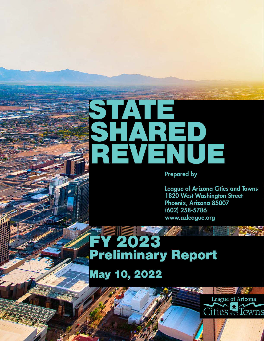## STATE SHARED REVENUE

Prepared by

League of Arizona Cities and Towns 1820 West Washington Street Phoenix, Arizona 85007 (602) 258-5786 www.azleague.org

FY 2023 Preliminary Report

May 10, 2022

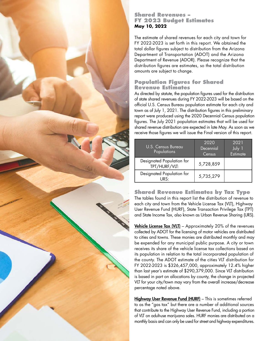

## **Shared Revenues – FY 2023 Budget Estimates May 10, 2022**

The estimate of shared revenues for each city and town for FY 2022-2023 is set forth in this report. We obtained the total dollar figures subject to distribution from the Arizona Department of Transportation (ADOT) and the Arizona Department of Revenue (ADOR). Please recognize that the distribution figures are estimates, so the total distribution amounts are subject to change.

## **Population Figures for Shared Revenue Estimates**

As directed by statute, the population figures used for the distribution of state shared revenues during FY 2022-2023 will be based on the official U.S. Census Bureau population estimate for each city and town as of July 1, 2021. The distribution figures in this preliminary report were produced using the 2020 Decennial Census population figures. The July 2021 population estimates that will be used for shared revenue distribution are expected in late May. As soon as we receive those figures we will issue the Final version of this report.

| U.S. Census Bureau<br>Populations          | 2020<br>Decennial<br>Census | 2021<br>July 1<br><b>Estimate</b> |
|--------------------------------------------|-----------------------------|-----------------------------------|
| Designated Population for<br>TPT/HURF/VLT: | 5,728,859                   |                                   |
| Designated Population for<br>URS∙          | 5,735,279                   |                                   |

**Shared Revenue Estimates by Tax Type** The tables found in this report list the distribution of revenue to each city and town from the Vehicle License Tax (VLT), Highway User Revenue Fund (HURF), State Transaction Privilege Tax (TPT) and State Income Tax, also known as Urban Revenue Sharing (URS).

**Vehicle License Tax (VLT)** – Approximately 20% of the revenues collected by ADOT for the licensing of motor vehicles are distributed to cities and towns. These monies are distributed monthly and may be expended for any municipal public purpose. A city or town receives its share of the vehicle license tax collections based on its population in relation to the total incorporated population of the county. The ADOT estimate of the cities VLT distribution for FY 2022-2023 is \$326,457,000, approximately 12.4% higher than last year's estimate of \$290,379,000. Since VLT distribution is based in part on allocations by county, the change in projected VLT for your city/town may vary from the overall increase/decrease percentage noted above.

Highway User Revenue Fund (HURF) - This is sometimes referred to as the "gas tax" but there are a number of additional sources that contribute to the Highway User Revenue Fund, including a portion of VLT on adult-use marijuana sales. HURF monies are distributed on a monthly basis and can only be used for street and highway expenditures.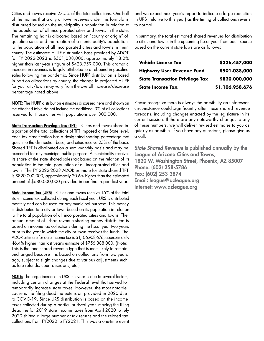Cities and towns receive 27.5% of the total collections. One-half of the monies that a city or town receives under this formula is distributed based on the municipality's population in relation to the population of all incorporated cities and towns in the state. The remaining half is allocated based on "county of origin" of gasoline sales and the relation of a municipality's population to the population of all incorporated cities and towns in their county. The estimated HURF distribution base provided by ADOT for FY 2022-2023 is \$501,038,000, approximately 18.2% higher than last year's figure of \$423,959,000. This dramatic increase in revenues is largely attributed to a rebound in gasoline sales following the pandemic. Since HURF distribution is based in part on allocations by county, the change in projected HURF for your city/town may vary from the overall increase/decrease percentage noted above.

NOTE: The HURF distribution estimates discussed here and shown on the attached table do not include the additional 3% of all collections reserved for those cities with populations over 300,000.

State Transaction Privilege Tax (TPT) - Cities and towns share in a portion of the total collections of TPT imposed at the State level. Each tax classification has a designated sharing percentage that goes into the distribution base, and cities receive 25% of the base. Shared TPT is distributed on a semi-monthly basis and may be expended for any municipal public purpose. A municipality receives its share of the state shared sales tax based on the relation of its population to the total population of all incorporated cities and towns. The FY 2022-2023 ADOR estimate for state shared TPT is \$820,000,000, approximately 20.6% higher than the estimated amount of \$680,000,000 provided in our final report last year.

**State Income Tax (URS)** – Cities and towns receive 15% of the total state income tax collected during each fiscal year. URS is distributed monthly and can be used for any municipal purpose. This money is distributed to a city or town based on its population in relation to the total population of all incorporated cities and towns. The annual amount of urban revenue sharing money distributed is based on income tax collections during the fiscal year two years prior to the year in which the city or town receives the funds. The ADOR estimate for state income tax is \$1,106,958,676, approximately 46.4% higher than last year's estimate of \$756,388,000. (Note: This is the lone shared revenue type that is most likely to remain unchanged because it is based on collections from two years ago, subject to slight changes due to various adjustments such as late refunds, court decisions, etc.)

**NOTE:** The large increase in URS this year is due to several factors, including certain changes at the Federal level that served to temporarily increase state taxes. However, the most notable cause is the filing deadline extension provided in 2020 due to COVID-19. Since URS distribution is based on the income taxes collected during a particular fiscal year, moving the filing deadline for 2019 state income taxes from April 2020 to July 2020 shifted a large number of tax returns and the related tax collections from FY2020 to FY2021. This was a one-time event and we expect next year's report to indicate a large reduction in URS (relative to this year) as the timing of collections reverts to normal.

In summary, the total estimated shared revenues for distribution to cities and towns in the upcoming fiscal year from each source based on the current state laws are as follows:

| <b>Vehicle License Tax</b>             | \$326,457,000   |  |
|----------------------------------------|-----------------|--|
| <b>Highway User Revenue Fund</b>       | \$501,038,000   |  |
| <b>State Transaction Privilege Tax</b> | \$820,000,000   |  |
| <b>State Income Tax</b>                | \$1,106,958,676 |  |

Please recognize there is always the possibility an unforeseen circumstance could significantly alter these shared revenue forecasts, including changes enacted by the legislature in its current session. If there are any noteworthy changes to any of these numbers, we will deliver revised estimates to you as quickly as possible. If you have any questions, please give us a call.

*State Shared Revenue* Is published annually by the League of Arizona Cities and Towns, 1820 W. Washington Street, Phoenix, AZ 85007 Phone: (602) 258-5786 Fax: (602) 253-3874 Email: league@azleague.org Internet: www.azleague.org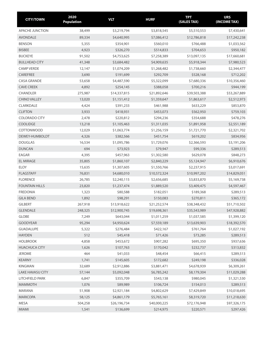| <b>CITY/TOWN</b>        | 2020<br><b>Population</b> | <b>VLT</b>   | <b>HURF</b>  | <b>TPT</b><br>(SALES TAX) | <b>URS</b><br>(INCOME TAX) |
|-------------------------|---------------------------|--------------|--------------|---------------------------|----------------------------|
| APACHE JUNCTION         | 38,499                    | \$3,219,794  | \$3,818,545  | \$5,510,553               | \$7,430,641                |
| <b>AVONDALE</b>         | 89,334                    | \$4,640,995  | \$7,086,412  | \$12,786,818              | \$17,242,238               |
| <b>BENSON</b>           | 5,355                     | \$354,901    | \$560,010    | \$766,488                 | \$1,033,562                |
| <b>BISBEE</b>           | 4,923                     | \$326,270    | \$514,833    | \$704,653                 | \$950,182                  |
| <b>BUCKEYE</b>          | 91,502                    | \$4,753,625  | \$7,258,389  | \$13,097,135              | \$17,660,681               |
| <b>BULLHEAD CITY</b>    | 41,348                    | \$3,684,482  | \$4,909,635  | \$5,918,344               | \$7,980,523                |
| <b>CAMP VERDE</b>       | 12,147                    | \$1,074,209  | \$1,268,482  | \$1,738,660               | \$2,344,477                |
| CAREFREE                | 3,690                     | \$191,699    | \$292,709    | \$528,168                 | \$712,202                  |
| <b>CASA GRANDE</b>      | 53,658                    | \$4,487,590  | \$5,322,099  | \$7,680,336               | \$10,356,460               |
| <b>CAVE CREEK</b>       | 4,892                     | \$254,145    | \$388,058    | \$700,216                 | \$944,199                  |
| <b>CHANDLER</b>         | 275,987                   | \$14,337,815 | \$21,892,646 | \$39,503,388              | \$53,267,889               |
| <b>CHINO VALLEY</b>     | 13,020                    | \$1,151,412  | \$1,359,647  | \$1,863,617               | \$2,512,973                |
| CLARKDALE               | 4,424                     | \$391,233    | \$461,988    | \$633,229                 | \$853,870                  |
| <b>CLIFTON</b>          | 3,933                     | \$418,931    | \$453,073    | \$562,950                 | \$759,103                  |
| <b>COLORADO CITY</b>    | 2,478                     | \$220,812    | \$294,236    | \$354,688                 | \$478,276                  |
| COOLIDGE                | 13,218                    | \$1,105,463  | \$1,311,035  | \$1,891,958               | \$2,551,189                |
| <b>COTTONWOOD</b>       | 12,029                    | \$1,063,774  | \$1,256,159  | \$1,721,770               | \$2,321,702                |
| DEWEY-HUMBOLDT          | 4,326                     | \$382,566    | \$451,754    | \$619,202                 | \$834,956                  |
| <b>DOUGLAS</b>          | 16,534                    | \$1,095,786  | \$1,729,076  | \$2,366,593               | \$3,191,206                |
| <b>DUNCAN</b>           | 694                       | \$73,923     | \$79,947     | \$99,336                  | \$289,513                  |
| EAGAR                   | 4,395                     | \$457,963    | \$1,302,580  | \$629,078                 | \$848,273                  |
| <b>EL MIRAGE</b>        | 35,805                    | \$1,860,107  | \$2,840,229  | \$5,124,947               | \$6,910,676                |
| <b>ELOY</b>             | 15,635                    | \$1,307,605  | \$1,550,766  | \$2,237,915               | \$3,017,691                |
| <b>FLAGSTAFF</b>        | 76,831                    | \$4,680,010  | \$10,572,324 | \$10,997,202              | \$14,829,051               |
| <b>FLORENCE</b>         | 26,785                    | \$2,240,115  | \$2,656,685  | \$3,833,870               | \$5,169,738                |
| <b>FOUNTAIN HILLS</b>   | 23,820                    | \$1,237,474  | \$1,889,520  | \$3,409,475               | \$4,597,467                |
| <b>FREDONIA</b>         | 1,323                     | \$80,588     | \$182,051    | \$189,368                 | \$289,513                  |
| <b>GILA BEND</b>        | 1,892                     | \$98,291     | \$150,083    | \$270,811                 | \$365,172                  |
| <b>GILBERT</b>          | 267,918                   | \$13,918,622 | \$21,252,574 | \$38,348,432              | \$51,710,502               |
| <b>GLENDALE</b>         | 248,325                   | \$12,900,745 | \$19,698,361 | \$35,543,989              | \$47,928,882               |
| GLOBE                   | 7,249                     | \$643,044    | \$1,011,259  | \$1,037,585               | \$1,399,120                |
| GOODYEAR                | 95,294                    | \$4,950,624  | \$7,559,189  | \$13,639,903              | \$18,392,570               |
| <b>GUADALUPE</b>        | 5,322                     | \$276,484    | \$422,167    | \$761,764                 | \$1,027,192                |
| <b>HAYDEN</b>           | 512                       | \$45,418     | \$71,426     | \$73,285                  | \$289,513                  |
| <b>HOLBROOK</b>         | 4,858                     | \$453,672    | \$907,282    | \$695,350                 | \$937,636                  |
| <b>HUACHUCA CITY</b>    | 1,626                     | \$107,763    | \$170,042    | \$232,737                 | \$313,832                  |
| <b>JEROME</b>           | 464                       | \$41,033     | \$48,454     | \$66,415                  | \$289,513                  |
| <b>KEARNY</b>           | 1,741                     | \$145,605    | \$172,682    | \$249,198                 | \$336,028                  |
| <b>KINGMAN</b>          | 32,689                    | \$2,912,886  | \$3,881,471  | \$4,678,939               | \$6,309,261                |
| <b>LAKE HAVASU CITY</b> | 57,144                    | \$5,092,048  | \$6,785,242  | \$8,179,304               | \$11,029,288               |
| LITCHFIELD PARK         | 6,847                     | \$355,709    | \$543,138    | \$980,045                 | \$1,321,530                |
| <b>MAMMOTH</b>          | 1,076                     | \$89,989     | \$106,724    | \$154,013                 | \$289,513                  |
| <b>MARANA</b>           | 51,908                    | \$2,921,184  | \$4,802,629  | \$7,429,849               | \$10,018,695               |
| <b>MARICOPA</b>         | 58,125                    | \$4,861,179  | \$5,765,161  | \$8,319,720               | \$11,218,630               |
| MESA                    | 504,258                   | \$26,196,734 | \$40,000,225 | \$72,176,948              | \$97,326,175               |
| <b>MIAMI</b>            | 1,541                     | \$136,699    | \$214,975    | \$220,571                 | \$297,426                  |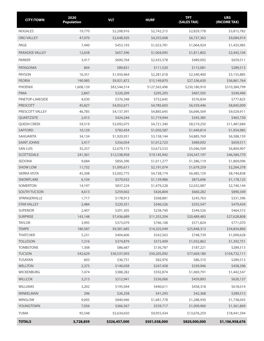| <b>CITY/TOWN</b>    | 2020<br><b>Population</b> | <b>VLT</b>    | <b>HURF</b>   | <b>TPT</b><br>(SALES TAX) | <b>URS</b><br>(INCOME TAX) |
|---------------------|---------------------------|---------------|---------------|---------------------------|----------------------------|
| <b>NOGALES</b>      | 19,770                    | \$2,208,916   | \$2,742,215   | \$2,829,778               | \$3,815,782                |
| ORO VALLEY          | 47,070                    | \$2,648,920   | \$4,355,008   | \$6,737,363               | \$9,084,919                |
| PAGE                | 7,440                     | \$453,193     | \$1,023,781   | \$1,064,924               | \$1,435,985                |
| PARADISE VALLEY     | 12,658                    | \$657,596     | \$1,004,095   | \$1,811,802               | \$2,443,104                |
| <b>PARKER</b>       | 3,417                     | \$600,764     | \$2,435,578   | \$489,092                 | \$659,511                  |
| <b>PATAGONIA</b>    | 804                       | \$89,831      | \$111,520     | \$115,081                 | \$289,513                  |
| <b>PAYSON</b>       | 16,351                    | \$1,450,464   | \$2,281,018   | \$2,340,400               | \$3,155,885                |
| <b>PEORIA</b>       | 190,985                   | \$9,921,872   | \$15,149,870  | \$27,336,630              | \$36,861,764               |
| <b>PHOENIX</b>      | 1,608,139                 | \$83,544,514  | \$127,565,496 | \$230,180,910             | \$310,384,799              |
| <b>PIMA</b>         | 2,847                     | \$220,209     | \$295,293     | \$407,505                 | \$549,496                  |
| PINETOP-LAKESIDE    | 4,030                     | \$376,348     | \$752,645     | \$576,834                 | \$777,825                  |
| PRESCOTT            | 45,827                    | \$4,052,671   | \$4,785,603   | \$6,559,446               | \$8,845,009                |
| PRESCOTT VALLEY     | 46,785                    | \$4,137,391   | \$4,885,645   | \$6,696,569               | \$9,029,911                |
| QUARTZSITE          | 2,413                     | \$424,244     | \$1,719,944   | \$345,385                 | \$465,730                  |
| <b>QUEEN CREEK</b>  | 59,519                    | \$3,092,075   | \$4,721,340   | \$8,519,250               | \$11,487,684               |
| SAFFORD             | 10,129                    | \$783,454     | \$1,050,587   | \$1,449,814               | \$1,954,985                |
| SAHUARITA           | 34,134                    | \$1,920,931   | \$3,158,144   | \$4,885,769               | \$6,588,159                |
| <b>SAINT JOHNS</b>  | 3,417                     | \$356,054     | \$1,012,723   | \$489,092                 | \$659,511                  |
| <b>SAN LUIS</b>     | 35,257                    | \$2,079,173   | \$3,673,533   | \$5,046,509               | \$6,804,907                |
| SCOTTSDALE          | 241,361                   | \$12,538,958  | \$19,145,942  | \$34,547,197              | \$46,584,770               |
| SEDONA              | 9,684                     | \$856,396     | \$1,011,277   | \$1,386,119               | \$1,869,096                |
| <b>SHOW LOW</b>     | 11,732                    | \$1,095,611   | \$2,191,074   | \$1,679,259               | \$2,264,378                |
| <b>SIERRA VISTA</b> | 45,308                    | \$3,002,775   | \$4,738,174   | \$6,485,159               | \$8,744,838                |
| SNOWFLAKE           | 6,104                     | \$570,032     | \$1,139,986   | \$873,696                 | \$1,178,125                |
| SOMERTON            | 14,197                    | \$837,224     | \$1,479,228   | \$2,032,087               | \$2,740,144                |
| SOUTH TUCSON        | 4,613                     | \$259,602     | \$426,804     | \$660,282                 | \$890,349                  |
| SPRINGERVILLE       | 1,717                     | \$178,913     | \$508,881     | \$245,763                 | \$331,396                  |
| <b>STAR VALLEY</b>  | 2,484                     | \$220,351     | \$346,526     | \$355,547                 | \$479,434                  |
| <b>SUPERIOR</b>     | 2,407                     | \$201,305     | \$238,740     | \$344,526                 | \$464,572                  |
| SURPRISE            | 143,148                   | \$7,436,689   | \$11,355,204  | \$20,489,483              | \$27,628,808               |
| <b>TAYLOR</b>       | 3,995                     | \$373,079     | \$746,108     | \$571,824                 | \$771,070                  |
| <b>TEMPE</b>        | 180,587                   | \$9,381,685   | \$14,325,049  | \$25,848,313              | \$34,854,860               |
| <b>THATCHER</b>     | 5,231                     | \$404,606     | \$542,563     | \$748,739                 | \$1,009,628                |
| <b>TOLLESON</b>     | 7,216                     | \$374,879     | \$572,409     | \$1,032,862               | \$1,392,751                |
| <b>TOMBSTONE</b>    | 1,308                     | \$86,687      | \$136,787     | \$187,221                 | \$289,513                  |
| <b>TUCSON</b>       | 542,629                   | \$30,537,093  | \$50,205,092  | \$77,669,180              | \$104,732,111              |
| TUSAYAN             | 603                       | \$36,731      | \$82,976      | \$86,310                  | \$289,513                  |
| <b>WELLTON</b>      | 2,375                     | \$140,058     | \$247,458     | \$339,946                 | \$458,396                  |
| <b>WICKENBURG</b>   | 7,474                     | \$388,282     | \$592,874     | \$1,069,791               | \$1,442,547                |
| <b>WILLCOX</b>      | 3,213                     | \$212,941     | \$336,006     | \$459,893                 | \$620,137                  |
| WILLIAMS            | 3,202                     | \$195,044     | \$440,611     | \$458,318                 | \$618,014                  |
| WINKELMAN           | 296                       | \$26,258      | \$41,293      | \$42,368                  | \$289,513                  |
| <b>WINSLOW</b>      | 9,005                     | \$840,946     | \$1,681,778   | \$1,288,930               | \$1,738,043                |
| YOUNGTOWN           | 7,056                     | \$366,567     | \$559,717     | \$1,009,960               | \$1,361,869                |
| YUMA                | 95,548                    | \$5,634,650   | \$9,955,434   | \$13,676,259              | \$18,441,594               |
| <b>TOTALS</b>       | 5,728,859                 | \$326,457,000 | \$501,038,000 | \$820,000,000             | \$1,106,958,676            |